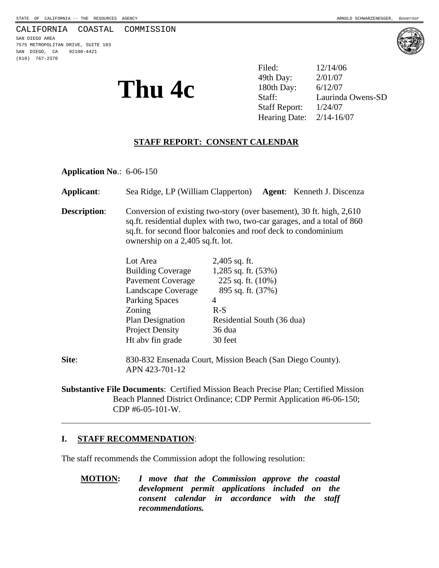#### CALIFORNIA COASTAL COMMISSION

SAN DIEGO AREA 7575 METROPOLITAN DRIVE, SUITE 103 SAN DIEGO, CA 92108-4421 (619) 767-2370



**Thu 4c** <sup>49th Day: 2/01/07<br>Staff: 180th Day: 6/12/07<br>Laurind</sup> Filed: 12/14/06 49th Day: Laurinda Owens-SD Staff Report: 1/24/07 Hearing Date: 2/14-16/07

## **STAFF REPORT: CONSENT CALENDAR**

**Application No**.: 6-06-150

| Applicant:          | Sea Ridge, LP (William Clapperton) Agent: Kenneth J. Discenza                                                                                                                                                                                         |                            |  |  |
|---------------------|-------------------------------------------------------------------------------------------------------------------------------------------------------------------------------------------------------------------------------------------------------|----------------------------|--|--|
| <b>Description:</b> | Conversion of existing two-story (over basement), 30 ft. high, 2,610<br>sq.ft. residential duplex with two, two-car garages, and a total of 860<br>sq.ft. for second floor balconies and roof deck to condominium<br>ownership on a 2,405 sq.ft. lot. |                            |  |  |
|                     | Lot Area                                                                                                                                                                                                                                              | $2,405$ sq. ft.            |  |  |
|                     | Building Coverage 1,285 sq. ft. (53%)                                                                                                                                                                                                                 |                            |  |  |
|                     | <b>Pavement Coverage</b>                                                                                                                                                                                                                              | 225 sq. ft. $(10\%)$       |  |  |
|                     | Landscape Coverage                                                                                                                                                                                                                                    | 895 sq. ft. (37%)          |  |  |
|                     | <b>Parking Spaces</b>                                                                                                                                                                                                                                 | 4                          |  |  |
|                     | Zoning                                                                                                                                                                                                                                                | $R-S$                      |  |  |
|                     | <b>Plan Designation</b>                                                                                                                                                                                                                               | Residential South (36 dua) |  |  |
|                     | <b>Project Density</b>                                                                                                                                                                                                                                | 36 dua                     |  |  |
|                     | Ht abv fin grade                                                                                                                                                                                                                                      | 30 feet                    |  |  |
| Site:               | 830-832 Ensenada Court, Mission Beach (San Diego County).<br>APN 423-701-12                                                                                                                                                                           |                            |  |  |
|                     |                                                                                                                                                                                                                                                       |                            |  |  |

**Substantive File Documents**: Certified Mission Beach Precise Plan; Certified Mission Beach Planned District Ordinance; CDP Permit Application #6-06-150; CDP #6-05-101-W.

#### **I. STAFF RECOMMENDATION**:

 $\overline{a}$ 

The staff recommends the Commission adopt the following resolution:

**MOTION:** *I move that the Commission approve the coastal development permit applications included on the consent calendar in accordance with the staff recommendations.*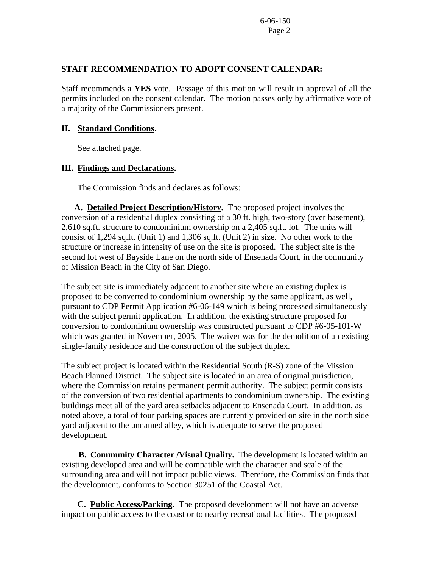6-06-150 Page 2

### **STAFF RECOMMENDATION TO ADOPT CONSENT CALENDAR:**

Staff recommends a **YES** vote. Passage of this motion will result in approval of all the permits included on the consent calendar. The motion passes only by affirmative vote of a majority of the Commissioners present.

#### **II. Standard Conditions**.

See attached page.

## **III. Findings and Declarations.**

The Commission finds and declares as follows:

 **A. Detailed Project Description/History.** The proposed project involves the conversion of a residential duplex consisting of a 30 ft. high, two-story (over basement), 2,610 sq.ft. structure to condominium ownership on a 2,405 sq.ft. lot. The units will consist of 1,294 sq.ft. (Unit 1) and 1,306 sq.ft. (Unit 2) in size. No other work to the structure or increase in intensity of use on the site is proposed. The subject site is the second lot west of Bayside Lane on the north side of Ensenada Court, in the community of Mission Beach in the City of San Diego.

The subject site is immediately adjacent to another site where an existing duplex is proposed to be converted to condominium ownership by the same applicant, as well, pursuant to CDP Permit Application #6-06-149 which is being processed simultaneously with the subject permit application. In addition, the existing structure proposed for conversion to condominium ownership was constructed pursuant to CDP #6-05-101-W which was granted in November, 2005. The waiver was for the demolition of an existing single-family residence and the construction of the subject duplex.

The subject project is located within the Residential South (R-S) zone of the Mission Beach Planned District. The subject site is located in an area of original jurisdiction, where the Commission retains permanent permit authority. The subject permit consists of the conversion of two residential apartments to condominium ownership. The existing buildings meet all of the yard area setbacks adjacent to Ensenada Court. In addition, as noted above, a total of four parking spaces are currently provided on site in the north side yard adjacent to the unnamed alley, which is adequate to serve the proposed development.

 **B. Community Character /Visual Quality.** The development is located within an existing developed area and will be compatible with the character and scale of the surrounding area and will not impact public views. Therefore, the Commission finds that the development, conforms to Section 30251 of the Coastal Act.

**C. Public Access/Parking**. The proposed development will not have an adverse impact on public access to the coast or to nearby recreational facilities. The proposed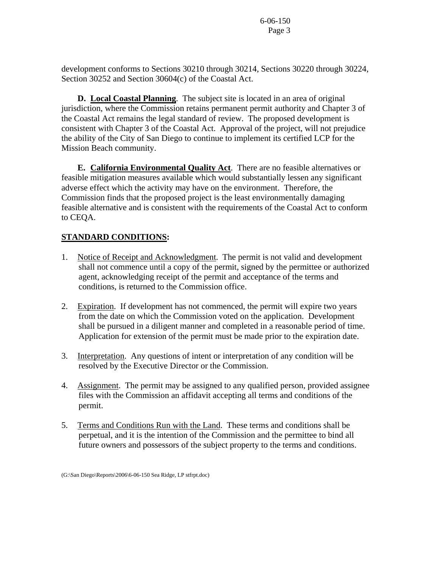6-06-150 Page 3

development conforms to Sections 30210 through 30214, Sections 30220 through 30224, Section 30252 and Section 30604(c) of the Coastal Act.

**D. Local Coastal Planning**. The subject site is located in an area of original jurisdiction, where the Commission retains permanent permit authority and Chapter 3 of the Coastal Act remains the legal standard of review. The proposed development is consistent with Chapter 3 of the Coastal Act. Approval of the project, will not prejudice the ability of the City of San Diego to continue to implement its certified LCP for the Mission Beach community.

 **E. California Environmental Quality Act**. There are no feasible alternatives or feasible mitigation measures available which would substantially lessen any significant adverse effect which the activity may have on the environment. Therefore, the Commission finds that the proposed project is the least environmentally damaging feasible alternative and is consistent with the requirements of the Coastal Act to conform to CEQA.

# **STANDARD CONDITIONS:**

- 1. Notice of Receipt and Acknowledgment. The permit is not valid and development shall not commence until a copy of the permit, signed by the permittee or authorized agent, acknowledging receipt of the permit and acceptance of the terms and conditions, is returned to the Commission office.
- 2. Expiration. If development has not commenced, the permit will expire two years from the date on which the Commission voted on the application. Development shall be pursued in a diligent manner and completed in a reasonable period of time. Application for extension of the permit must be made prior to the expiration date.
- 3. Interpretation. Any questions of intent or interpretation of any condition will be resolved by the Executive Director or the Commission.
- 4. Assignment. The permit may be assigned to any qualified person, provided assignee files with the Commission an affidavit accepting all terms and conditions of the permit.
- 5. Terms and Conditions Run with the Land. These terms and conditions shall be perpetual, and it is the intention of the Commission and the permittee to bind all future owners and possessors of the subject property to the terms and conditions.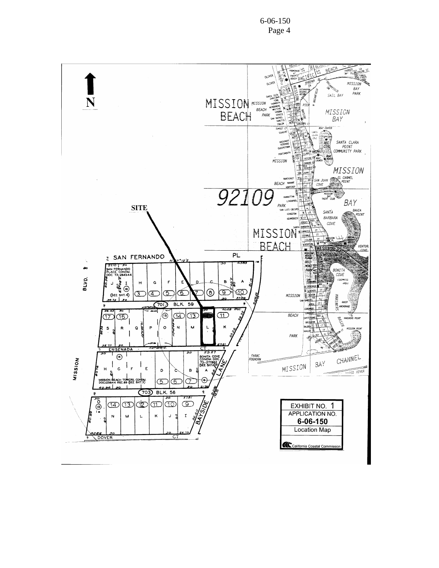6-06-150 Page 4